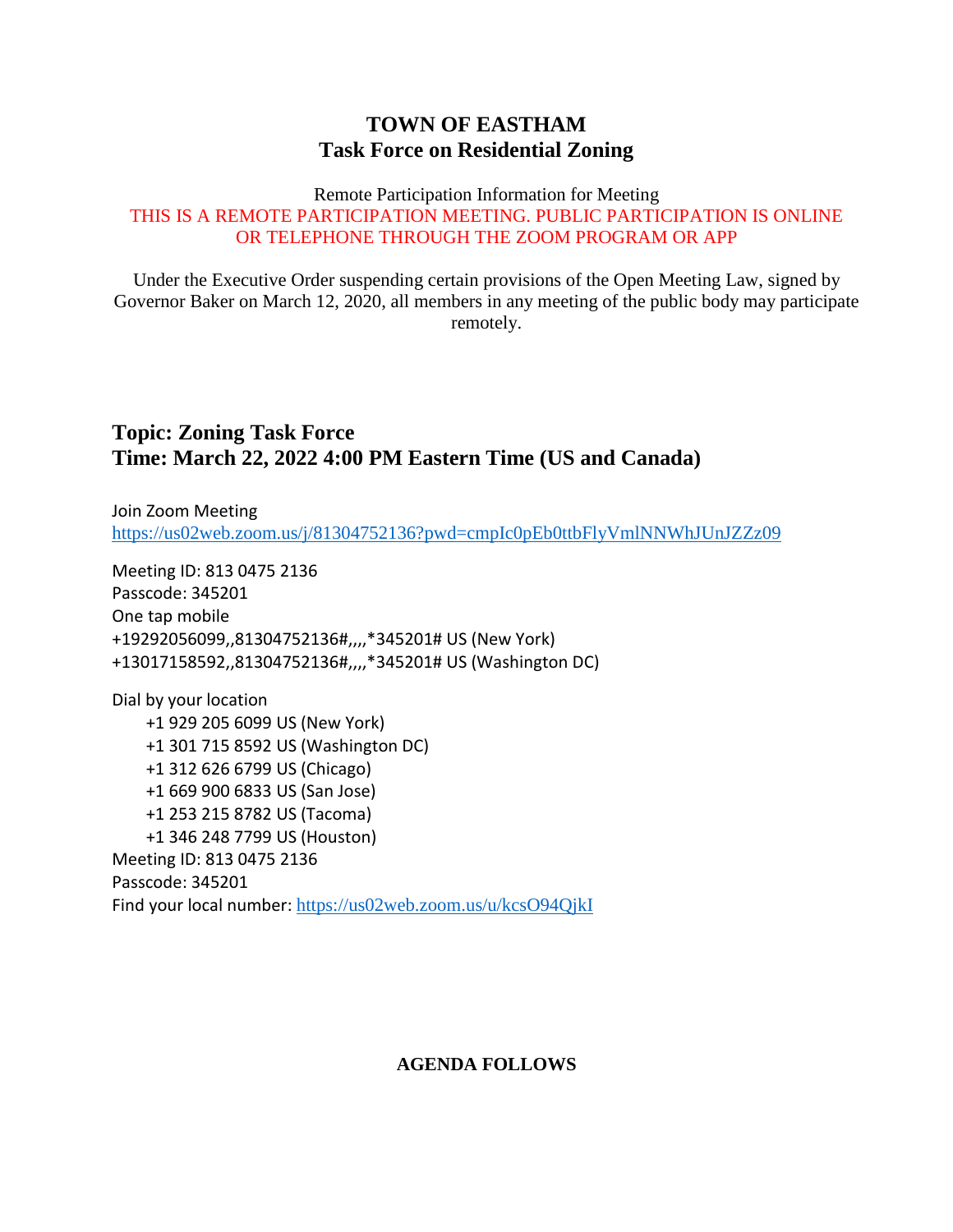## **TOWN OF EASTHAM Task Force on Residential Zoning**

#### Remote Participation Information for Meeting THIS IS A REMOTE PARTICIPATION MEETING. PUBLIC PARTICIPATION IS ONLINE OR TELEPHONE THROUGH THE ZOOM PROGRAM OR APP

Under the Executive Order suspending certain provisions of the Open Meeting Law, signed by Governor Baker on March 12, 2020, all members in any meeting of the public body may participate remotely.

## **Topic: Zoning Task Force Time: March 22, 2022 4:00 PM Eastern Time (US and Canada)**

Join Zoom Meeting <https://us02web.zoom.us/j/81304752136?pwd=cmpIc0pEb0ttbFlyVmlNNWhJUnJZZz09>

Meeting ID: 813 0475 2136 Passcode: 345201 One tap mobile +19292056099,,81304752136#,,,,\*345201# US (New York) +13017158592,,81304752136#,,,,\*345201# US (Washington DC)

Dial by your location +1 929 205 6099 US (New York) +1 301 715 8592 US (Washington DC) +1 312 626 6799 US (Chicago) +1 669 900 6833 US (San Jose) +1 253 215 8782 US (Tacoma) +1 346 248 7799 US (Houston) Meeting ID: 813 0475 2136 Passcode: 345201 Find your local number: <https://us02web.zoom.us/u/kcsO94QjkI>

### **AGENDA FOLLOWS**